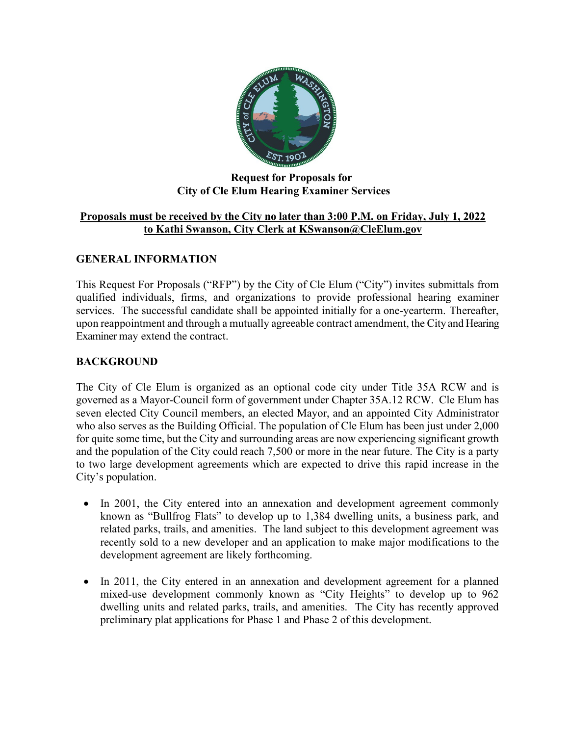

### **Request for Proposals for City of Cle Elum Hearing Examiner Services**

### **Proposals must be received by the City no later than 3:00 P.M. on Friday, July 1, 2022 to Kathi Swanson, City Clerk at KSwanson@CleElum.gov**

### **GENERAL INFORMATION**

This Request For Proposals ("RFP") by the City of Cle Elum ("City") invites submittals from qualified individuals, firms, and organizations to provide professional hearing examiner services. The successful candidate shall be appointed initially for a one-yearterm. Thereafter, upon reappointment and through a mutually agreeable contract amendment, the City and Hearing Examiner may extend the contract.

### **BACKGROUND**

The City of Cle Elum is organized as an optional code city under Title 35A RCW and is governed as a Mayor-Council form of government under Chapter 35A.12 RCW. Cle Elum has seven elected City Council members, an elected Mayor, and an appointed City Administrator who also serves as the Building Official. The population of Cle Elum has been just under 2,000 for quite some time, but the City and surrounding areas are now experiencing significant growth and the population of the City could reach 7,500 or more in the near future. The City is a party to two large development agreements which are expected to drive this rapid increase in the City's population.

- In 2001, the City entered into an annexation and development agreement commonly known as "Bullfrog Flats" to develop up to 1,384 dwelling units, a business park, and related parks, trails, and amenities. The land subject to this development agreement was recently sold to a new developer and an application to make major modifications to the development agreement are likely forthcoming.
- In 2011, the City entered in an annexation and development agreement for a planned mixed-use development commonly known as "City Heights" to develop up to 962 dwelling units and related parks, trails, and amenities. The City has recently approved preliminary plat applications for Phase 1 and Phase 2 of this development.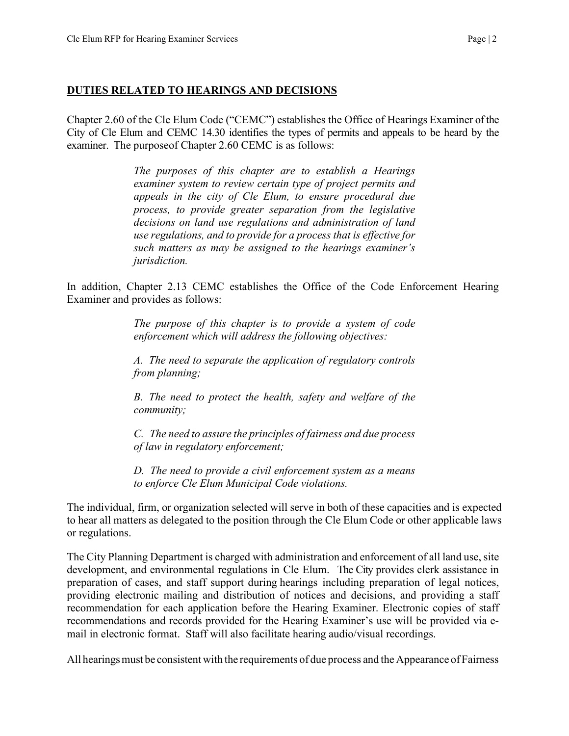#### **DUTIES RELATED TO HEARINGS AND DECISIONS**

Chapter 2.60 of the Cle Elum Code ("CEMC") establishes the Office of Hearings Examiner of the City of Cle Elum and CEMC 14.30 identifies the types of permits and appeals to be heard by the examiner. The purpose of Chapter 2.60 CEMC is as follows:

> *The purposes of this chapter are to establish a Hearings examiner system to review certain type of project permits and appeals in the city of Cle Elum, to ensure procedural due process, to provide greater separation from the legislative decisions on land use regulations and administration of land use regulations, and to provide for a process that is effective for such matters as may be assigned to the hearings examiner's jurisdiction.*

In addition, Chapter 2.13 CEMC establishes the Office of the Code Enforcement Hearing Examiner and provides as follows:

> *The purpose of this chapter is to provide a system of code enforcement which will address the following objectives:*

> *A. The need to separate the application of regulatory controls from planning;*

> *B. The need to protect the health, safety and welfare of the community;*

> *C. The need to assure the principles of fairness and due process of law in regulatory enforcement;*

> *D. The need to provide a civil enforcement system as a means to enforce Cle Elum Municipal Code violations.*

The individual, firm, or organization selected will serve in both of these capacities and is expected to hear all matters as delegated to the position through the Cle Elum Code or other applicable laws or regulations.

The City Planning Department is charged with administration and enforcement of all land use, site development, and environmental regulations in Cle Elum. The City provides clerk assistance in preparation of cases, and staff support during hearings including preparation of legal notices, providing electronic mailing and distribution of notices and decisions, and providing a staff recommendation for each application before the Hearing Examiner. Electronic copies of staff recommendations and records provided for the Hearing Examiner's use will be provided via email in electronic format. Staff will also facilitate hearing audio/visual recordings.

All hearings must be consistent with the requirements of due process and the Appearance of Fairness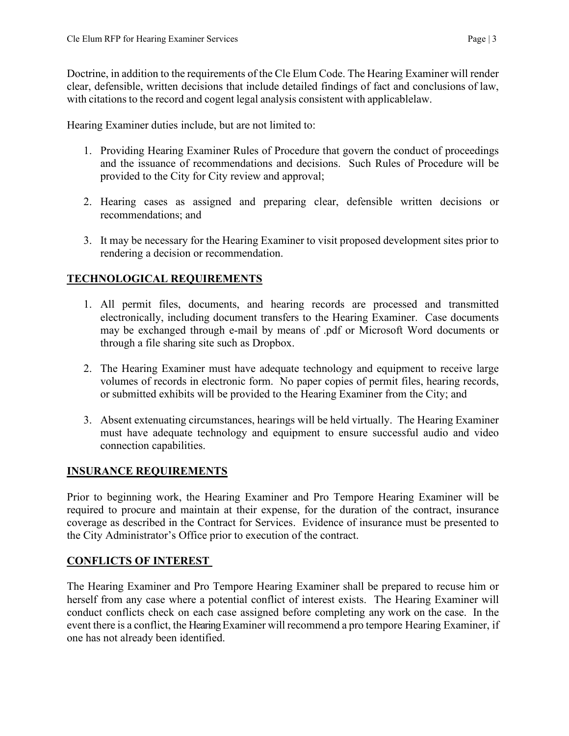Doctrine, in addition to the requirements of the Cle Elum Code. The Hearing Examiner will render clear, defensible, written decisions that include detailed findings of fact and conclusions of law, with citations to the record and cogent legal analysis consistent with applicablelaw.

Hearing Examiner duties include, but are not limited to:

- 1. Providing Hearing Examiner Rules of Procedure that govern the conduct of proceedings and the issuance of recommendations and decisions. Such Rules of Procedure will be provided to the City for City review and approval;
- 2. Hearing cases as assigned and preparing clear, defensible written decisions or recommendations; and
- 3. It may be necessary for the Hearing Examiner to visit proposed development sites prior to rendering a decision or recommendation.

# **TECHNOLOGICAL REQUIREMENTS**

- 1. All permit files, documents, and hearing records are processed and transmitted electronically, including document transfers to the Hearing Examiner. Case documents may be exchanged through e-mail by means of .pdf or Microsoft Word documents or through a file sharing site such as Dropbox.
- 2. The Hearing Examiner must have adequate technology and equipment to receive large volumes of records in electronic form. No paper copies of permit files, hearing records, or submitted exhibits will be provided to the Hearing Examiner from the City; and
- 3. Absent extenuating circumstances, hearings will be held virtually. The Hearing Examiner must have adequate technology and equipment to ensure successful audio and video connection capabilities.

# **INSURANCE REQUIREMENTS**

Prior to beginning work, the Hearing Examiner and Pro Tempore Hearing Examiner will be required to procure and maintain at their expense, for the duration of the contract, insurance coverage as described in the Contract for Services. Evidence of insurance must be presented to the City Administrator's Office prior to execution of the contract.

# **CONFLICTS OF INTEREST**

The Hearing Examiner and Pro Tempore Hearing Examiner shall be prepared to recuse him or herself from any case where a potential conflict of interest exists. The Hearing Examiner will conduct conflicts check on each case assigned before completing any work on the case. In the event there is a conflict, the Hearing Examiner will recommend a pro tempore Hearing Examiner, if one has not already been identified.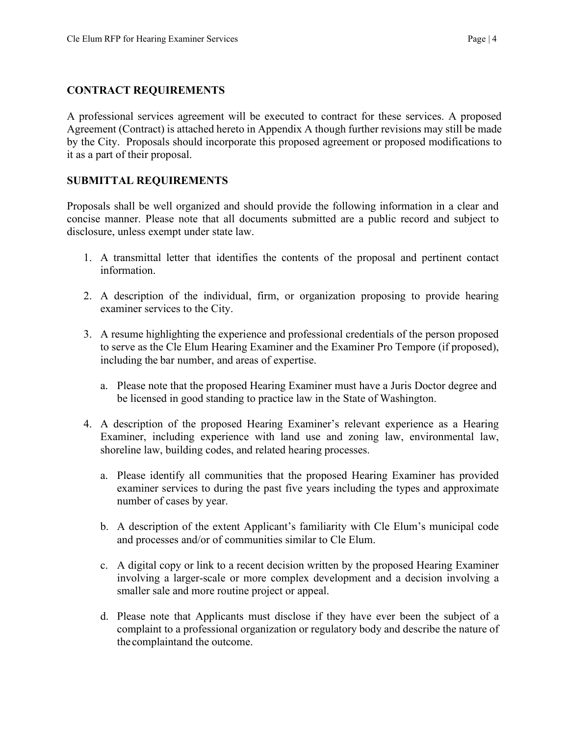#### **CONTRACT REQUIREMENTS**

A professional services agreement will be executed to contract for these services. A proposed Agreement (Contract) is attached hereto in Appendix A though further revisions may still be made by the City. Proposals should incorporate this proposed agreement or proposed modifications to it as a part of their proposal.

### **SUBMITTAL REQUIREMENTS**

Proposals shall be well organized and should provide the following information in a clear and concise manner. Please note that all documents submitted are a public record and subject to disclosure, unless exempt under state law.

- 1. A transmittal letter that identifies the contents of the proposal and pertinent contact information.
- 2. A description of the individual, firm, or organization proposing to provide hearing examiner services to the City.
- 3. A resume highlighting the experience and professional credentials of the person proposed to serve as the Cle Elum Hearing Examiner and the Examiner Pro Tempore (if proposed), including the bar number, and areas of expertise.
	- a. Please note that the proposed Hearing Examiner must have a Juris Doctor degree and be licensed in good standing to practice law in the State of Washington.
- 4. A description of the proposed Hearing Examiner's relevant experience as a Hearing Examiner, including experience with land use and zoning law, environmental law, shoreline law, building codes, and related hearing processes.
	- a. Please identify all communities that the proposed Hearing Examiner has provided examiner services to during the past five years including the types and approximate number of cases by year.
	- b. A description of the extent Applicant's familiarity with Cle Elum's municipal code and processes and/or of communities similar to Cle Elum.
	- c. A digital copy or link to a recent decision written by the proposed Hearing Examiner involving a larger-scale or more complex development and a decision involving a smaller sale and more routine project or appeal.
	- d. Please note that Applicants must disclose if they have ever been the subject of a complaint to a professional organization or regulatory body and describe the nature of the complaintand the outcome.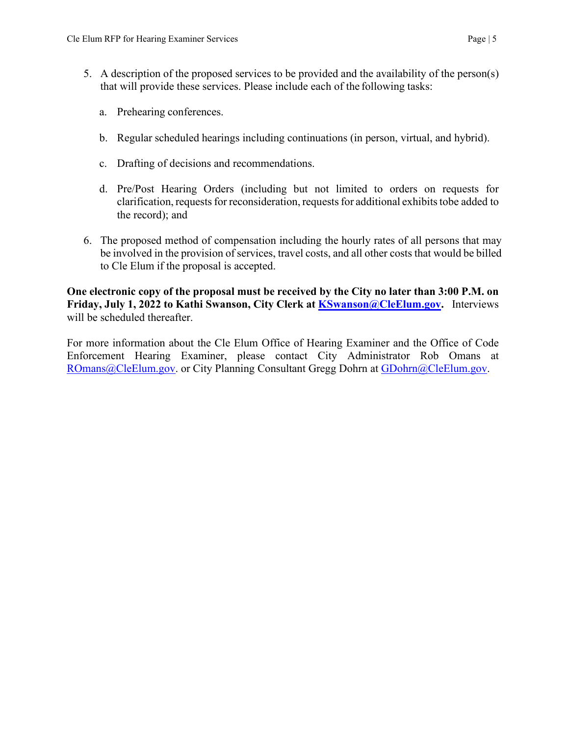- 5. A description of the proposed services to be provided and the availability of the person(s) that will provide these services. Please include each of the following tasks:
	- a. Prehearing conferences.
	- b. Regular scheduled hearings including continuations (in person, virtual, and hybrid).
	- c. Drafting of decisions and recommendations.
	- d. Pre/Post Hearing Orders (including but not limited to orders on requests for clarification, requests for reconsideration, requests for additional exhibits tobe added to the record); and
- 6. The proposed method of compensation including the hourly rates of all persons that may be involved in the provision of services, travel costs, and all other costs that would be billed to Cle Elum if the proposal is accepted.

**One electronic copy of the proposal must be received by the City no later than 3:00 P.M. on Friday, July 1, 2022 to Kathi Swanson, City Clerk at [KSwanson@CleElum.gov.](mailto:KSwanson@CleElum.gov)** Interviews will be scheduled thereafter.

For more information about the Cle Elum Office of Hearing Examiner and the Office of Code Enforcement Hearing Examiner, please contact City Administrator Rob Omans at [ROmans@CleElum.gov.](mailto:ROmans@CleElum.gov) or City Planning Consultant Gregg Dohrn at [GDohrn@CleElum.gov.](mailto:GDohrn@CleElum.gov)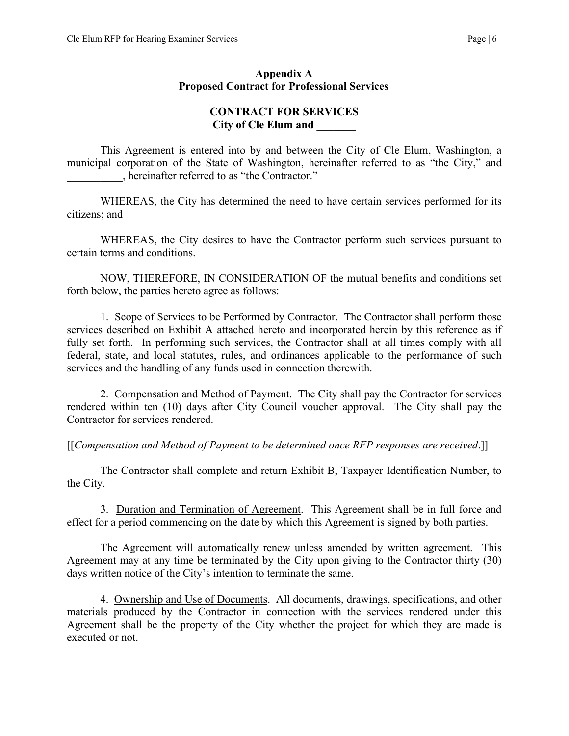#### **Appendix A Proposed Contract for Professional Services**

### **CONTRACT FOR SERVICES City of Cle Elum and \_\_\_\_\_\_\_**

This Agreement is entered into by and between the City of Cle Elum, Washington, a municipal corporation of the State of Washington, hereinafter referred to as "the City," and \_\_\_\_\_\_\_\_\_\_, hereinafter referred to as "the Contractor."

WHEREAS, the City has determined the need to have certain services performed for its citizens; and

WHEREAS, the City desires to have the Contractor perform such services pursuant to certain terms and conditions.

NOW, THEREFORE, IN CONSIDERATION OF the mutual benefits and conditions set forth below, the parties hereto agree as follows:

1. Scope of Services to be Performed by Contractor. The Contractor shall perform those services described on Exhibit A attached hereto and incorporated herein by this reference as if fully set forth. In performing such services, the Contractor shall at all times comply with all federal, state, and local statutes, rules, and ordinances applicable to the performance of such services and the handling of any funds used in connection therewith.

2. Compensation and Method of Payment. The City shall pay the Contractor for services rendered within ten (10) days after City Council voucher approval. The City shall pay the Contractor for services rendered.

[[*Compensation and Method of Payment to be determined once RFP responses are received*.]]

The Contractor shall complete and return Exhibit B, Taxpayer Identification Number, to the City.

3. Duration and Termination of Agreement. This Agreement shall be in full force and effect for a period commencing on the date by which this Agreement is signed by both parties.

The Agreement will automatically renew unless amended by written agreement. This Agreement may at any time be terminated by the City upon giving to the Contractor thirty (30) days written notice of the City's intention to terminate the same.

 4. Ownership and Use of Documents. All documents, drawings, specifications, and other materials produced by the Contractor in connection with the services rendered under this Agreement shall be the property of the City whether the project for which they are made is executed or not.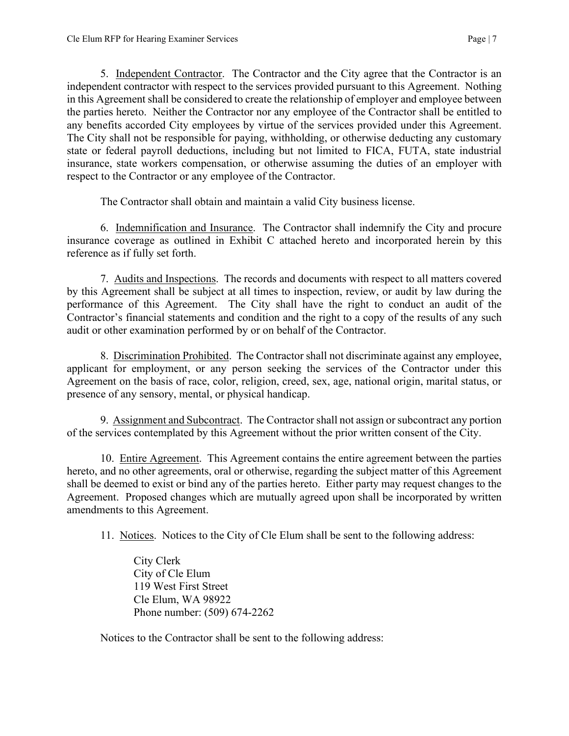5. Independent Contractor. The Contractor and the City agree that the Contractor is an independent contractor with respect to the services provided pursuant to this Agreement. Nothing in this Agreement shall be considered to create the relationship of employer and employee between the parties hereto. Neither the Contractor nor any employee of the Contractor shall be entitled to any benefits accorded City employees by virtue of the services provided under this Agreement. The City shall not be responsible for paying, withholding, or otherwise deducting any customary state or federal payroll deductions, including but not limited to FICA, FUTA, state industrial insurance, state workers compensation, or otherwise assuming the duties of an employer with respect to the Contractor or any employee of the Contractor.

The Contractor shall obtain and maintain a valid City business license.

6. Indemnification and Insurance. The Contractor shall indemnify the City and procure insurance coverage as outlined in Exhibit C attached hereto and incorporated herein by this reference as if fully set forth.

7. Audits and Inspections. The records and documents with respect to all matters covered by this Agreement shall be subject at all times to inspection, review, or audit by law during the performance of this Agreement. The City shall have the right to conduct an audit of the Contractor's financial statements and condition and the right to a copy of the results of any such audit or other examination performed by or on behalf of the Contractor.

8. Discrimination Prohibited. The Contractor shall not discriminate against any employee, applicant for employment, or any person seeking the services of the Contractor under this Agreement on the basis of race, color, religion, creed, sex, age, national origin, marital status, or presence of any sensory, mental, or physical handicap.

9. Assignment and Subcontract. The Contractor shall not assign or subcontract any portion of the services contemplated by this Agreement without the prior written consent of the City.

10. Entire Agreement. This Agreement contains the entire agreement between the parties hereto, and no other agreements, oral or otherwise, regarding the subject matter of this Agreement shall be deemed to exist or bind any of the parties hereto. Either party may request changes to the Agreement. Proposed changes which are mutually agreed upon shall be incorporated by written amendments to this Agreement.

11. Notices. Notices to the City of Cle Elum shall be sent to the following address:

City Clerk City of Cle Elum 119 West First Street Cle Elum, WA 98922 Phone number: (509) 674-2262

Notices to the Contractor shall be sent to the following address: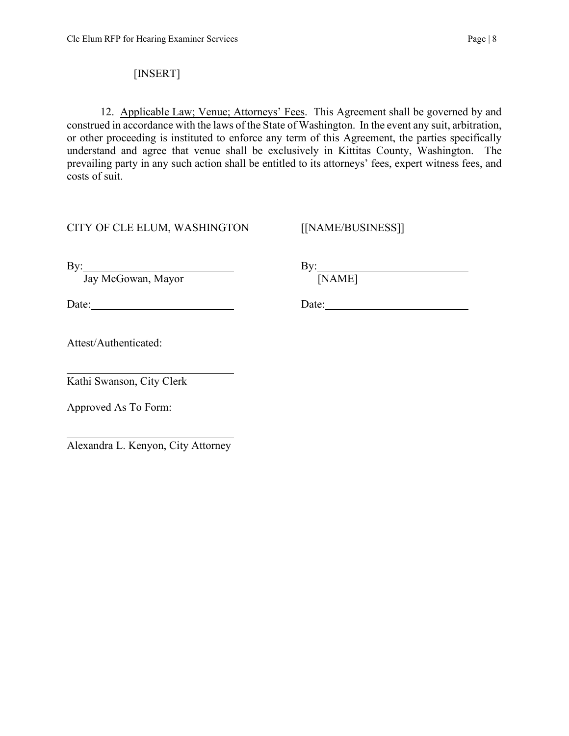# [INSERT]

12. Applicable Law; Venue; Attorneys' Fees. This Agreement shall be governed by and construed in accordance with the laws of the State of Washington. In the event any suit, arbitration, or other proceeding is instituted to enforce any term of this Agreement, the parties specifically understand and agree that venue shall be exclusively in Kittitas County, Washington. The prevailing party in any such action shall be entitled to its attorneys' fees, expert witness fees, and costs of suit.

# CITY OF CLE ELUM, WASHINGTON [[NAME/BUSINESS]]

Jay McGowan, Mayor [NAME]

By: By:

Date: Date: Date: Date:

Attest/Authenticated:

 $\overline{a}$ Kathi Swanson, City Clerk

Approved As To Form:

 $\overline{a}$ Alexandra L. Kenyon, City Attorney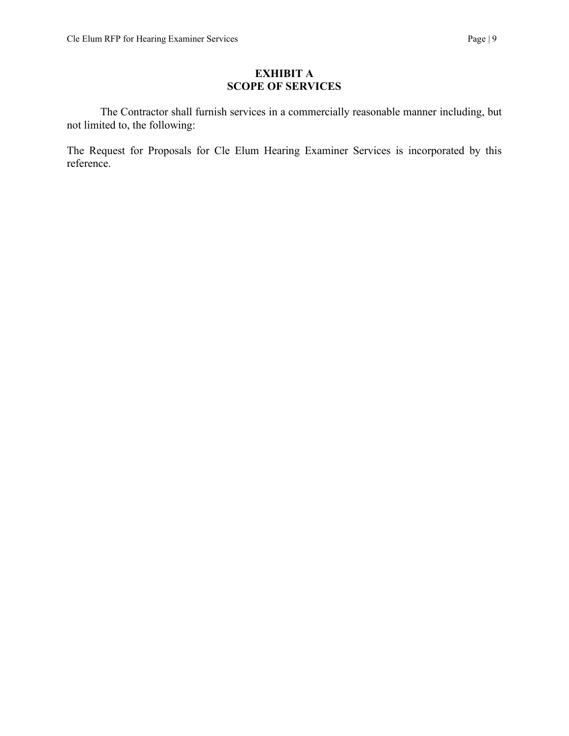#### **EXHIBIT A SCOPE OF SERVICES**

The Contractor shall furnish services in a commercially reasonable manner including, but not limited to, the following:

The Request for Proposals for Cle Elum Hearing Examiner Services is incorporated by this reference.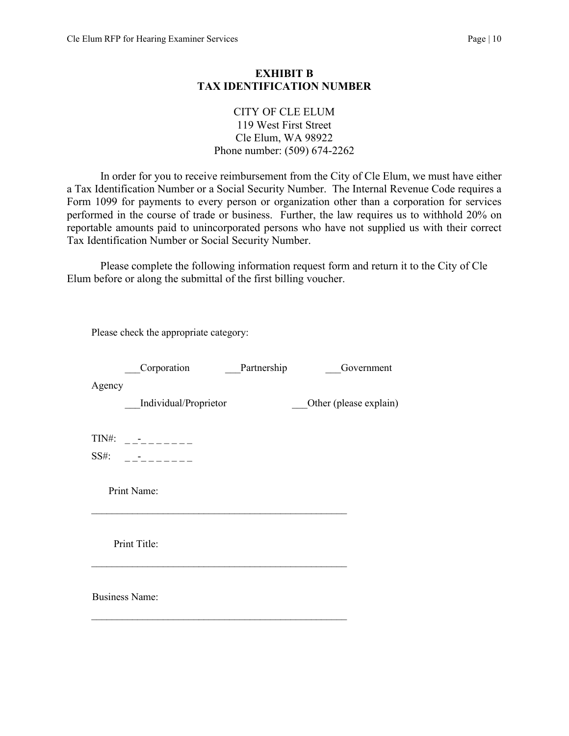#### **EXHIBIT B TAX IDENTIFICATION NUMBER**

#### CITY OF CLE ELUM 119 West First Street Cle Elum, WA 98922 Phone number: (509) 674-2262

In order for you to receive reimbursement from the City of Cle Elum, we must have either a Tax Identification Number or a Social Security Number. The Internal Revenue Code requires a Form 1099 for payments to every person or organization other than a corporation for services performed in the course of trade or business. Further, the law requires us to withhold 20% on reportable amounts paid to unincorporated persons who have not supplied us with their correct Tax Identification Number or Social Security Number.

Please complete the following information request form and return it to the City of Cle Elum before or along the submittal of the first billing voucher.

|        | Please check the appropriate category:  |             |                        |
|--------|-----------------------------------------|-------------|------------------------|
|        | Corporation                             | Partnership | Government             |
| Agency | Individual/Proprietor                   |             | Other (please explain) |
|        | $TIN#:$ __________<br>$SS#:$ __________ |             |                        |
|        | Print Name:                             |             |                        |
|        | Print Title:                            |             |                        |
|        | <b>Business Name:</b>                   |             |                        |
|        |                                         |             |                        |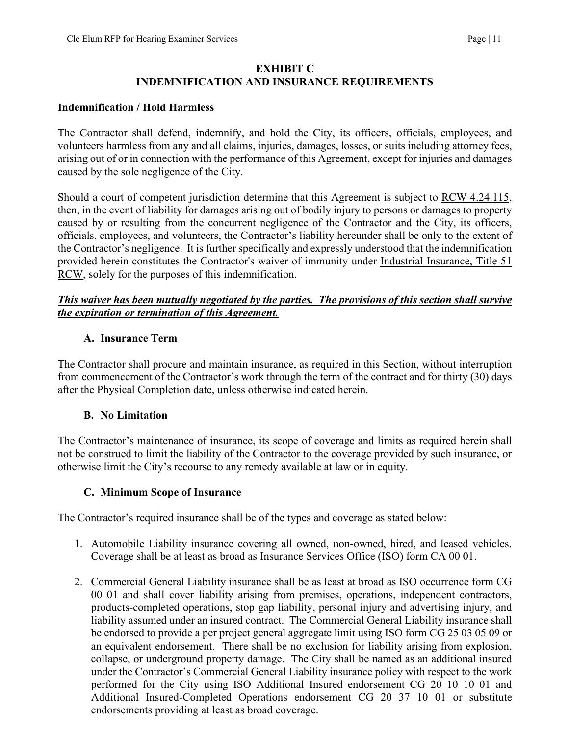#### **EXHIBIT C INDEMNIFICATION AND INSURANCE REQUIREMENTS**

#### **Indemnification / Hold Harmless**

The Contractor shall defend, indemnify, and hold the City, its officers, officials, employees, and volunteers harmless from any and all claims, injuries, damages, losses, or suits including attorney fees, arising out of or in connection with the performance of this Agreement, except for injuries and damages caused by the sole negligence of the City.

Should a court of competent jurisdiction determine that this Agreement is subject to RCW 4.24.115, then, in the event of liability for damages arising out of bodily injury to persons or damages to property caused by or resulting from the concurrent negligence of the Contractor and the City, its officers, officials, employees, and volunteers, the Contractor's liability hereunder shall be only to the extent of the Contractor's negligence. It is further specifically and expressly understood that the indemnification provided herein constitutes the Contractor's waiver of immunity under Industrial Insurance, Title 51 RCW, solely for the purposes of this indemnification.

### *This waiver has been mutually negotiated by the parties. The provisions of this section shall survive the expiration or termination of this Agreement.*

#### **A. Insurance Term**

The Contractor shall procure and maintain insurance, as required in this Section, without interruption from commencement of the Contractor's work through the term of the contract and for thirty (30) days after the Physical Completion date, unless otherwise indicated herein.

#### **B. No Limitation**

The Contractor's maintenance of insurance, its scope of coverage and limits as required herein shall not be construed to limit the liability of the Contractor to the coverage provided by such insurance, or otherwise limit the City's recourse to any remedy available at law or in equity.

#### **C. Minimum Scope of Insurance**

The Contractor's required insurance shall be of the types and coverage as stated below:

- 1. Automobile Liability insurance covering all owned, non-owned, hired, and leased vehicles. Coverage shall be at least as broad as Insurance Services Office (ISO) form CA 00 01.
- 2. Commercial General Liability insurance shall be as least at broad as ISO occurrence form CG 00 01 and shall cover liability arising from premises, operations, independent contractors, products-completed operations, stop gap liability, personal injury and advertising injury, and liability assumed under an insured contract. The Commercial General Liability insurance shall be endorsed to provide a per project general aggregate limit using ISO form CG 25 03 05 09 or an equivalent endorsement. There shall be no exclusion for liability arising from explosion, collapse, or underground property damage. The City shall be named as an additional insured under the Contractor's Commercial General Liability insurance policy with respect to the work performed for the City using ISO Additional Insured endorsement CG 20 10 10 01 and Additional Insured-Completed Operations endorsement CG 20 37 10 01 or substitute endorsements providing at least as broad coverage.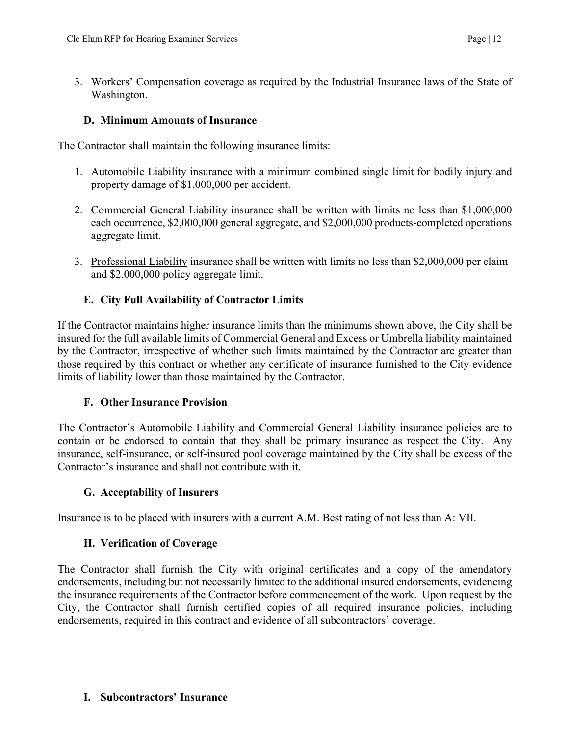3. Workers' Compensation coverage as required by the Industrial Insurance laws of the State of Washington.

### **D. Minimum Amounts of Insurance**

The Contractor shall maintain the following insurance limits:

- 1. Automobile Liability insurance with a minimum combined single limit for bodily injury and property damage of \$1,000,000 per accident.
- 2. Commercial General Liability insurance shall be written with limits no less than \$1,000,000 each occurrence, \$2,000,000 general aggregate, and \$2,000,000 products-completed operations aggregate limit.
- 3. Professional Liability insurance shall be written with limits no less than \$2,000,000 per claim and \$2,000,000 policy aggregate limit.

# **E. City Full Availability of Contractor Limits**

If the Contractor maintains higher insurance limits than the minimums shown above, the City shall be insured for the full available limits of Commercial General and Excess or Umbrella liability maintained by the Contractor, irrespective of whether such limits maintained by the Contractor are greater than those required by this contract or whether any certificate of insurance furnished to the City evidence limits of liability lower than those maintained by the Contractor.

# **F. Other Insurance Provision**

The Contractor's Automobile Liability and Commercial General Liability insurance policies are to contain or be endorsed to contain that they shall be primary insurance as respect the City. Any insurance, self-insurance, or self-insured pool coverage maintained by the City shall be excess of the Contractor's insurance and shall not contribute with it.

# **G. Acceptability of Insurers**

Insurance is to be placed with insurers with a current A.M. Best rating of not less than A: VII.

# **H. Verification of Coverage**

The Contractor shall furnish the City with original certificates and a copy of the amendatory endorsements, including but not necessarily limited to the additional insured endorsements, evidencing the insurance requirements of the Contractor before commencement of the work. Upon request by the City, the Contractor shall furnish certified copies of all required insurance policies, including endorsements, required in this contract and evidence of all subcontractors' coverage.

#### **I. Subcontractors' Insurance**